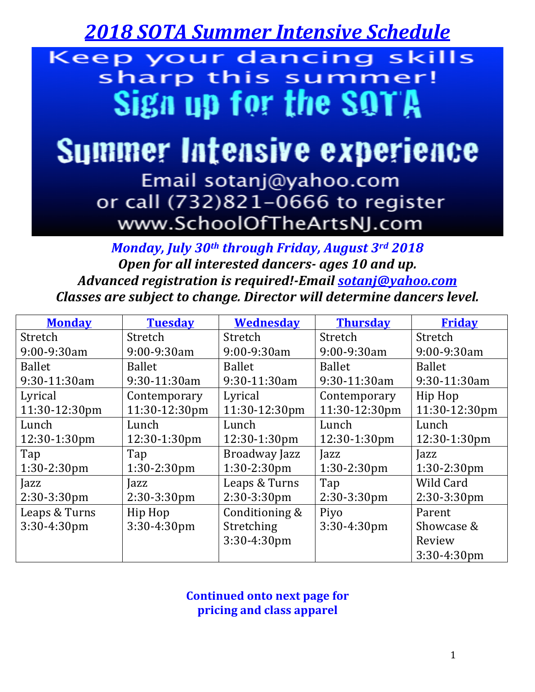*2018 SOTA Summer Intensive Schedule*

Keep your dancing skills sharp this summer! Sign up for the SQTA

## **Summer Intensive experience**

Email sotanj@yahoo.com or call (732)821-0666 to register www.SchoolOfTheArtsNJ.com

*Monday, July 30<sup>th</sup> through Friday, August 3rd 2018* **Open for all interested dancers- ages 10 and up.** *Advanced registration is required!-Email sotanj@yahoo.com Classes are subject to change. Director will determine dancers level.* 

| <b>Monday</b>  | <b>Tuesday</b> | <b>Wednesday</b> | <b>Thursday</b> | <b>Friday</b>  |
|----------------|----------------|------------------|-----------------|----------------|
| Stretch        | Stretch        | Stretch          | Stretch         | Stretch        |
| 9:00-9:30am    | 9:00-9:30am    | 9:00-9:30am      | 9:00-9:30am     | 9:00-9:30am    |
| <b>Ballet</b>  | <b>Ballet</b>  | <b>Ballet</b>    | <b>Ballet</b>   | <b>Ballet</b>  |
| 9:30-11:30am   | 9:30-11:30am   | 9:30-11:30am     | 9:30-11:30am    | 9:30-11:30am   |
| Lyrical        | Contemporary   | Lyrical          | Contemporary    | Hip Hop        |
| 11:30-12:30pm  | 11:30-12:30pm  | 11:30-12:30pm    | 11:30-12:30pm   | 11:30-12:30pm  |
| Lunch          | Lunch          | Lunch            | Lunch           | Lunch          |
| 12:30-1:30pm   | 12:30-1:30pm   | 12:30-1:30pm     | 12:30-1:30pm    | 12:30-1:30pm   |
| Tap            | Tap            | Broadway Jazz    | Jazz            | Jazz           |
| $1:30-2:30$ pm | $1:30-2:30$ pm | $1:30-2:30$ pm   | $1:30-2:30$ pm  | $1:30-2:30$ pm |
| Jazz           | Jazz           | Leaps & Turns    | Tap             | Wild Card      |
| 2:30-3:30pm    | $2:30-3:30$ pm | $2:30-3:30$ pm   | $2:30-3:30$ pm  | 2:30-3:30pm    |
| Leaps & Turns  | Hip Hop        | Conditioning &   | Piyo            | Parent         |
| 3:30-4:30pm    | 3:30-4:30pm    | Stretching       | $3:30-4:30$ pm  | Showcase &     |
|                |                | 3:30-4:30pm      |                 | Review         |
|                |                |                  |                 | 3:30-4:30pm    |

**Continued onto next page for pricing and class apparel**